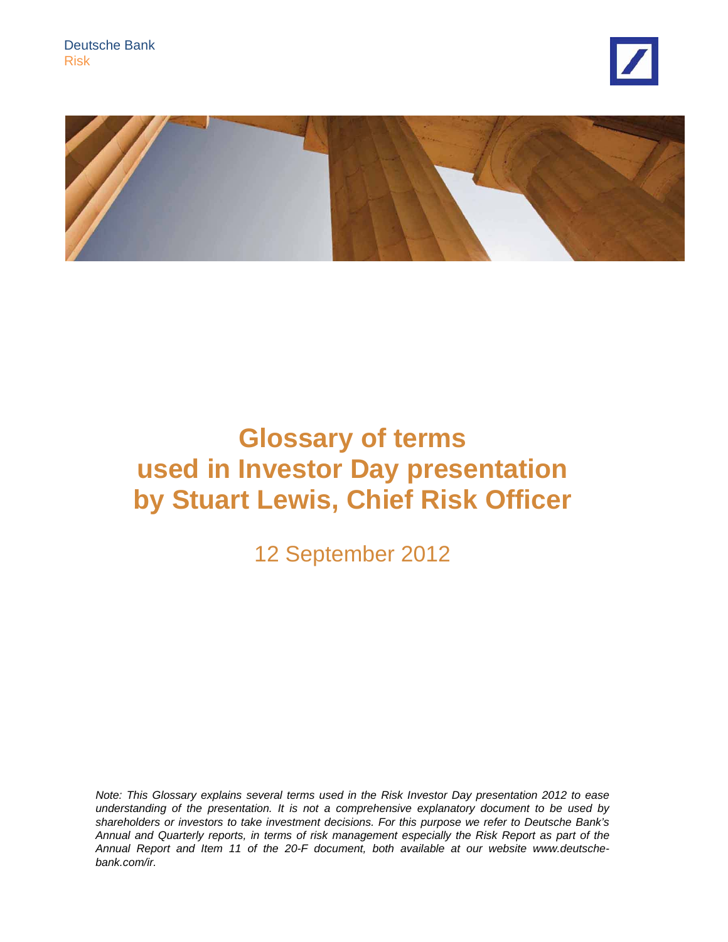Deutsche Bank Risk





## **Glossary of terms used in Investor Day presentation by Stuart Lewis, Chief Risk Officer**

12 September 2012

*Note: This Glossary explains several terms used in the Risk Investor Day presentation 2012 to ease understanding of the presentation. It is not a comprehensive explanatory document to be used by shareholders or investors to take investment decisions. For this purpose we refer to Deutsche Bank's Annual and Quarterly reports, in terms of risk management especially the Risk Report as part of the Annual Report and Item 11 of the 20-F document, both available at our website www.deutschebank.com/ir.*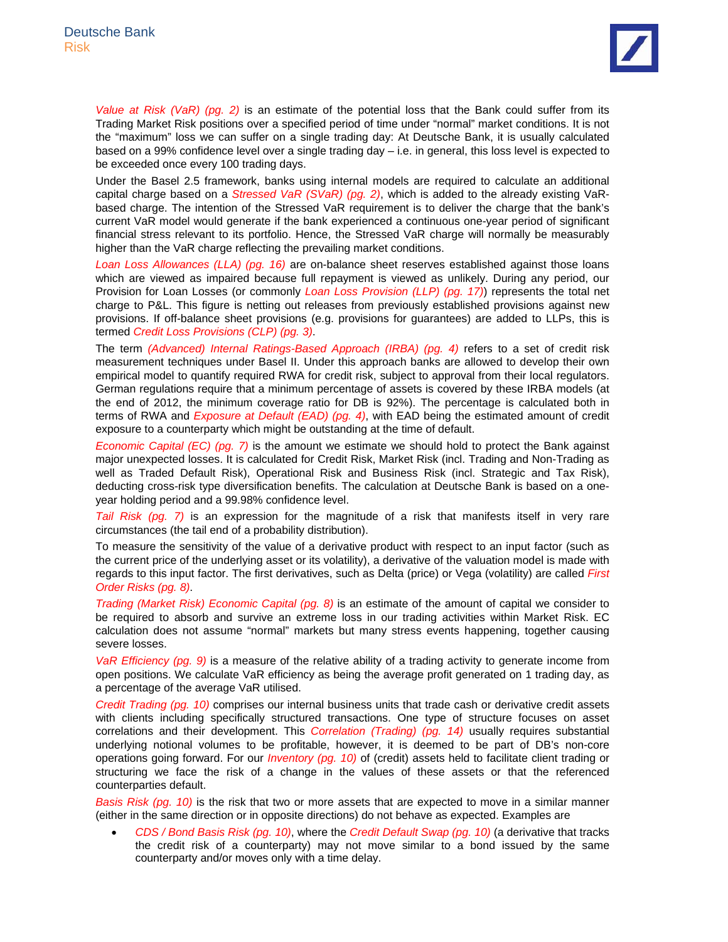

*Value at Risk (VaR) (pg. 2)* is an estimate of the potential loss that the Bank could suffer from its Trading Market Risk positions over a specified period of time under "normal" market conditions. It is not the "maximum" loss we can suffer on a single trading day: At Deutsche Bank, it is usually calculated based on a 99% confidence level over a single trading day – i.e. in general, this loss level is expected to be exceeded once every 100 trading days.

Under the Basel 2.5 framework, banks using internal models are required to calculate an additional capital charge based on a *Stressed VaR (SVaR) (pg. 2)*, which is added to the already existing VaRbased charge. The intention of the Stressed VaR requirement is to deliver the charge that the bank's current VaR model would generate if the bank experienced a continuous one-year period of significant financial stress relevant to its portfolio. Hence, the Stressed VaR charge will normally be measurably higher than the VaR charge reflecting the prevailing market conditions.

*Loan Loss Allowances (LLA) (pg. 16)* are on-balance sheet reserves established against those loans which are viewed as impaired because full repayment is viewed as unlikely. During any period, our Provision for Loan Losses (or commonly *Loan Loss Provision (LLP) (pg. 17)*) represents the total net charge to P&L. This figure is netting out releases from previously established provisions against new provisions. If off-balance sheet provisions (e.g. provisions for guarantees) are added to LLPs, this is termed *Credit Loss Provisions (CLP) (pg. 3)*.

The term *(Advanced) Internal Ratings-Based Approach (IRBA) (pg. 4)* refers to a set of credit risk measurement techniques under Basel II. Under this approach banks are allowed to develop their own empirical model to quantify required RWA for credit risk, subject to approval from their local regulators. German regulations require that a minimum percentage of assets is covered by these IRBA models (at the end of 2012, the minimum coverage ratio for DB is 92%). The percentage is calculated both in terms of RWA and *Exposure at Default (EAD) (pg. 4)*, with EAD being the estimated amount of credit exposure to a counterparty which might be outstanding at the time of default.

*Economic Capital (EC) (pg. 7)* is the amount we estimate we should hold to protect the Bank against major unexpected losses. It is calculated for Credit Risk, Market Risk (incl. Trading and Non-Trading as well as Traded Default Risk), Operational Risk and Business Risk (incl. Strategic and Tax Risk), deducting cross-risk type diversification benefits. The calculation at Deutsche Bank is based on a oneyear holding period and a 99.98% confidence level.

*Tail Risk (pg. 7)* is an expression for the magnitude of a risk that manifests itself in very rare circumstances (the tail end of a probability distribution).

To measure the sensitivity of the value of a derivative product with respect to an input factor (such as the current price of the underlying asset or its volatility), a derivative of the valuation model is made with regards to this input factor. The first derivatives, such as Delta (price) or Vega (volatility) are called *First Order Risks (pg. 8)*.

*Trading (Market Risk) Economic Capital (pg. 8)* is an estimate of the amount of capital we consider to be required to absorb and survive an extreme loss in our trading activities within Market Risk. EC calculation does not assume "normal" markets but many stress events happening, together causing severe losses.

*VaR Efficiency (pg. 9)* is a measure of the relative ability of a trading activity to generate income from open positions. We calculate VaR efficiency as being the average profit generated on 1 trading day, as a percentage of the average VaR utilised.

*Credit Trading (pg. 10)* comprises our internal business units that trade cash or derivative credit assets with clients including specifically structured transactions. One type of structure focuses on asset correlations and their development. This *Correlation (Trading) (pg. 14)* usually requires substantial underlying notional volumes to be profitable, however, it is deemed to be part of DB's non-core operations going forward. For our *Inventory (pg. 10)* of (credit) assets held to facilitate client trading or structuring we face the risk of a change in the values of these assets or that the referenced counterparties default.

*Basis Risk (pg. 10)* is the risk that two or more assets that are expected to move in a similar manner (either in the same direction or in opposite directions) do not behave as expected. Examples are

 *CDS / Bond Basis Risk (pg. 10)*, where the *Credit Default Swap (pg. 10)* (a derivative that tracks the credit risk of a counterparty) may not move similar to a bond issued by the same counterparty and/or moves only with a time delay.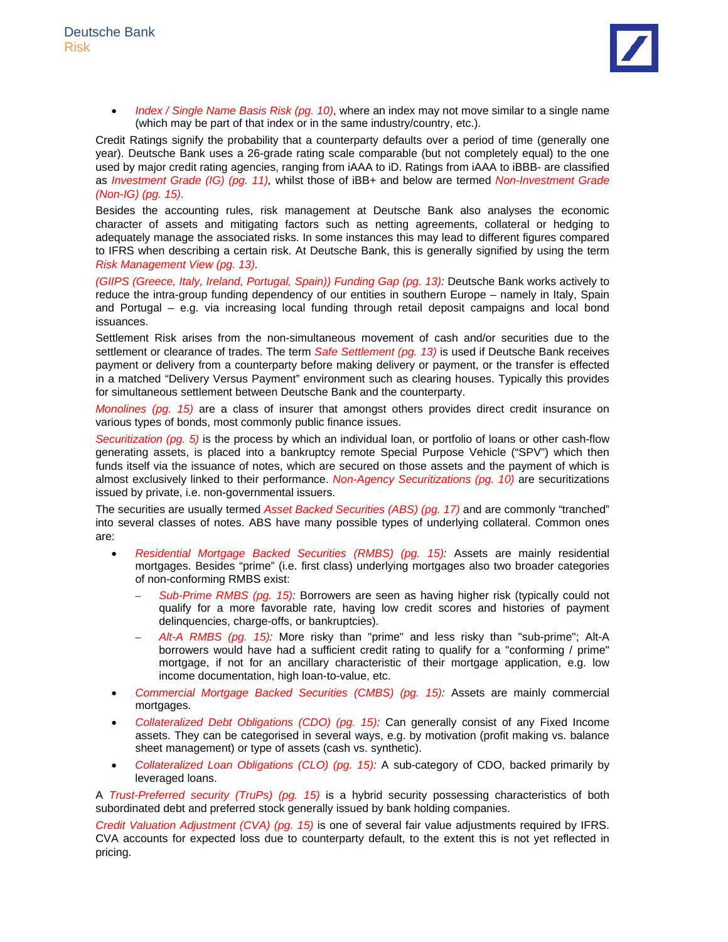

 *Index / Single Name Basis Risk (pg. 10)*, where an index may not move similar to a single name (which may be part of that index or in the same industry/country, etc.).

Credit Ratings signify the probability that a counterparty defaults over a period of time (generally one year). Deutsche Bank uses a 26-grade rating scale comparable (but not completely equal) to the one used by major credit rating agencies, ranging from iAAA to iD. Ratings from iAAA to iBBB- are classified as *Investment Grade (IG) (pg. 11),* whilst those of iBB+ and below are termed *Non-Investment Grade (Non-IG) (pg. 15)*.

Besides the accounting rules, risk management at Deutsche Bank also analyses the economic character of assets and mitigating factors such as netting agreements, collateral or hedging to adequately manage the associated risks. In some instances this may lead to different figures compared to IFRS when describing a certain risk. At Deutsche Bank, this is generally signified by using the term *Risk Management View (pg. 13)*.

*(GIIPS (Greece, Italy, Ireland, Portugal, Spain)) Funding Gap (pg. 13):* Deutsche Bank works actively to reduce the intra-group funding dependency of our entities in southern Europe – namely in Italy, Spain and Portugal – e.g. via increasing local funding through retail deposit campaigns and local bond issuances.

Settlement Risk arises from the non-simultaneous movement of cash and/or securities due to the settlement or clearance of trades. The term *Safe Settlement (pg. 13)* is used if Deutsche Bank receives payment or delivery from a counterparty before making delivery or payment, or the transfer is effected in a matched "Delivery Versus Payment" environment such as clearing houses. Typically this provides for simultaneous settlement between Deutsche Bank and the counterparty.

*Monolines (pg. 15)* are a class of insurer that amongst others provides direct credit insurance on various types of bonds, most commonly public finance issues.

*Securitization (pg. 5)* is the process by which an individual loan, or portfolio of loans or other cash-flow generating assets, is placed into a bankruptcy remote Special Purpose Vehicle ("SPV") which then funds itself via the issuance of notes, which are secured on those assets and the payment of which is almost exclusively linked to their performance. *Non-Agency Securitizations (pg. 10)* are securitizations issued by private, i.e. non-governmental issuers.

The securities are usually termed *Asset Backed Securities (ABS) (pg. 17)* and are commonly "tranched" into several classes of notes. ABS have many possible types of underlying collateral. Common ones are:

- *Residential Mortgage Backed Securities (RMBS) (pg. 15):* Assets are mainly residential mortgages. Besides "prime" (i.e. first class) underlying mortgages also two broader categories of non-conforming RMBS exist:
	- *Sub-Prime RMBS (pg. 15):* Borrowers are seen as having higher risk (typically could not qualify for a more favorable rate, having low credit scores and histories of payment delinquencies, charge-offs, or bankruptcies).
	- *Alt-A RMBS (pg. 15):* More risky than "prime" and less risky than "sub-prime"; Alt-A borrowers would have had a sufficient credit rating to qualify for a "conforming / prime" mortgage, if not for an ancillary characteristic of their mortgage application, e.g. low income documentation, high loan-to-value, etc.
- *Commercial Mortgage Backed Securities (CMBS) (pg. 15):* Assets are mainly commercial mortgages.
- *Collateralized Debt Obligations (CDO) (pg. 15):* Can generally consist of any Fixed Income assets. They can be categorised in several ways, e.g. by motivation (profit making vs. balance sheet management) or type of assets (cash vs. synthetic).
- *Collateralized Loan Obligations (CLO) (pg. 15):* A sub-category of CDO, backed primarily by leveraged loans.

A *Trust-Preferred security (TruPs) (pg. 15)* is a hybrid security possessing characteristics of both subordinated debt and preferred stock generally issued by bank holding companies.

*Credit Valuation Adjustment (CVA) (pg. 15)* is one of several fair value adjustments required by IFRS. CVA accounts for expected loss due to counterparty default, to the extent this is not yet reflected in pricing.